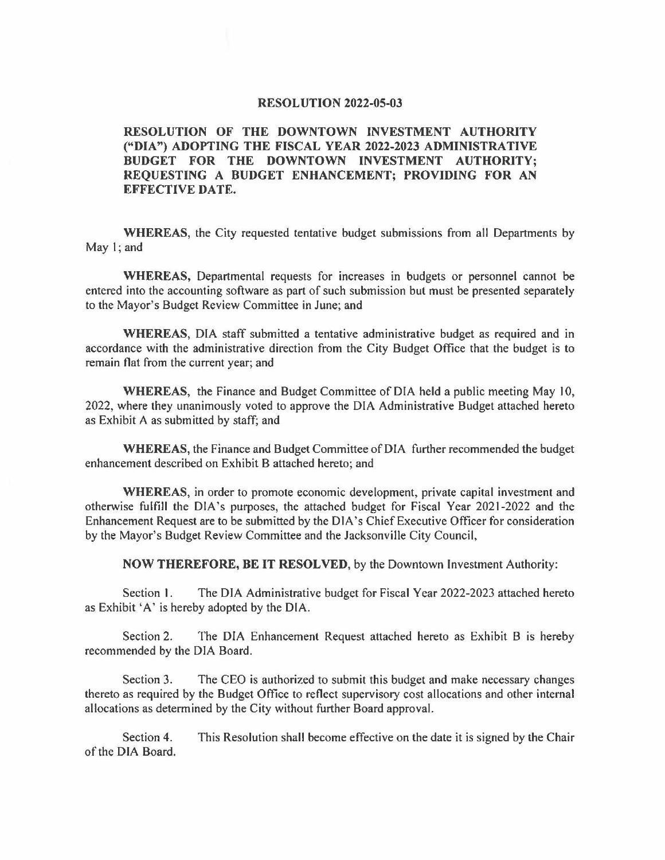### **RESOLUTION 2022-05-03**

### **RESOLUTION OF THE DOWNTOWN INVESTMENT AUTHORITY ("DIA") ADOPTING THE FISCAL YEAR 2022-2023 ADMINISTRATIVE BUDGET FOR THE DOWNTOWN INVESTMENT AUTHORITY; REQUESTING A BUDGET ENHANCEMENT; PROVIDING FOR AN EFFECTIVE DATE.**

**WHEREAS,** the City requested tentative budget submissions from all Departments by May  $\;$  : and

**WHEREAS,** Departmental requests for increases in budgets or personnel cannot be entered into the accounting software as part of such submission but must be presented separately to the Mayor's Budget Review Committee in June; and

**WHEREAS,** DIA staff submitted a tentative administrative budget as required and in accordance with the administrative direction from the City Budget Office that the budget is to remain flat from the current year; and

**WHEREAS,** the Finance and Budget Committee of DIA held a public meeting May 10, 2022, where they unanimously voted to approve the DIA Administrative Budget attached hereto as Exhibit A as submitted by staff; and

**WHEREAS,** the Finance and Budget Committee of DIA further recommended the budget enhancement described on Exhibit B attached hereto; and

**WHEREAS,** in order to promote economic development, private capital investment and otherwise fulfill the DIA's purposes, the attached budget for Fiscal Year 2021-2022 and the Enhancement Request are to be submitted by the DIA's Chief Executive Officer for consideration by the Mayor's Budget Review Committee and the Jacksonville City Council,

**NOW THEREFORE, BE IT RESOLVED,** by the Downtown Investment Authority:

Section I. The DIA Administrative budget for Fiscal Year 2022-2023 attached hereto as Exhibit 'A' is hereby adopted by the DIA.

Section 2. The DIA Enhancement Request attached hereto as Exhibit B is hereby recommended by the DIA Board.

Section 3. The CEO is authorized to submit this budget and make necessary changes thereto as required by the Budget Office to reflect supervisory cost allocations and other internal allocations as determined by the City without further Board approval.

Section 4. This Resolution shall become effective on the date it is signed by the Chair of the DIA Board.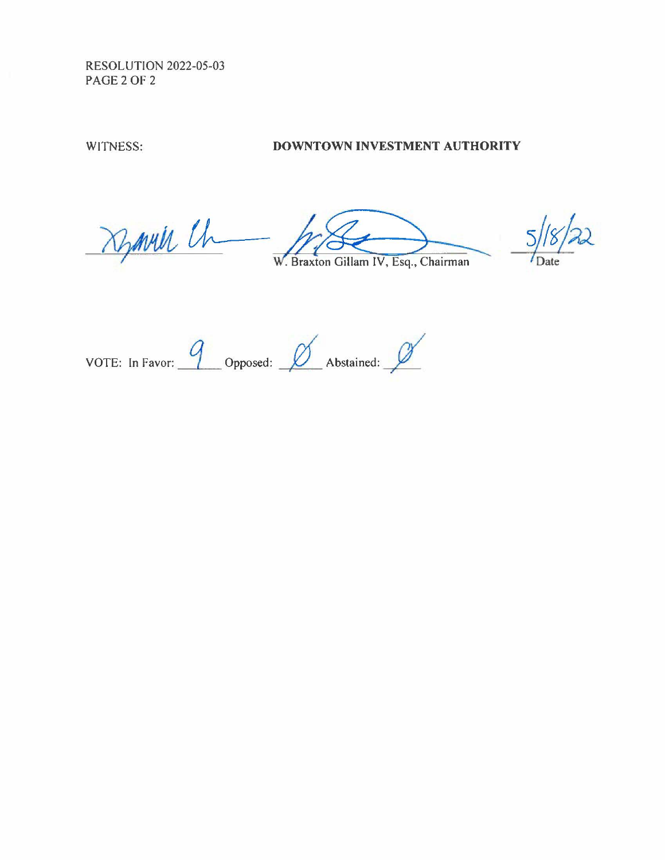RESOLUTION 2022-05-03 PAGE 2 OF 2

## WITNESS: **DOWNTOWN INVESTMENT AUTHORITY**

Dynvill Ch

 $\overline{\mathcal{U}}$  $\overline{5}$ 

Braxton Gillam IV, Esq., Chairman

VOTE: In Favor: 9 Opposed: *0* Abstained: *0*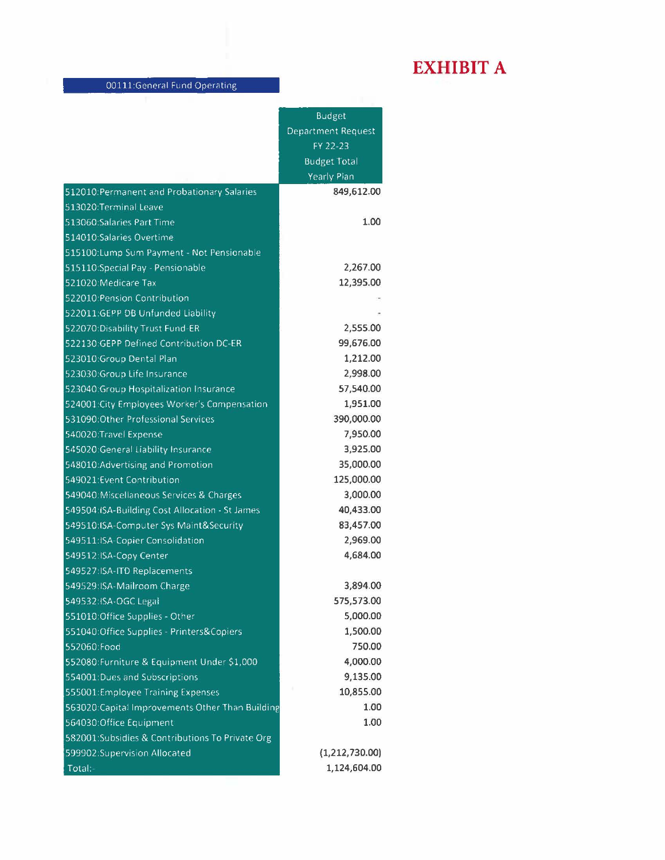# **EXHIBIT A**

|                                                  | <b>Budget</b>             |
|--------------------------------------------------|---------------------------|
|                                                  | <b>Department Request</b> |
|                                                  | FY 22-23                  |
|                                                  | <b>Budget Total</b>       |
|                                                  | Yearly Plan               |
| 512010: Permanent and Probationary Salaries      | 849,612.00                |
| 513020:Terminal Leave                            |                           |
| 513060:Salaries Part Time                        | 1.00                      |
| 514010:Salaries Overtime                         |                           |
| 515100:Lump Sum Payment - Not Pensionable        |                           |
| 515110:Special Pay - Pensionable                 | 2,267.00                  |
| 521020:Medicare Tax                              | 12,395.00                 |
| 522010:Pension Contribution                      |                           |
| 522011:GEPP DB Unfunded Liability                |                           |
| 522070:Disability Trust Fund-ER                  | 2,555.00                  |
| 522130:GEPP Defined Contribution DC-ER           | 99,676.00                 |
| 523010:Group Dental Plan                         | 1,212.00                  |
| 523030:Group Life Insurance                      | 2,998.00                  |
| 523040: Group Hospitalization Insurance          | 57,540.00                 |
| 524001: City Employees Worker's Compensation     | 1,951.00                  |
| 531090:Other Professional Services               | 390,000.00                |
| 540020:Travel Expense                            | 7,950.00                  |
| 545020:General Liability Insurance               | 3,925.00                  |
| 548010:Advertising and Promotion                 | 35,000.00                 |
| 549021:Event Contribution                        | 125,000.00                |
| 549040: Miscellaneous Services & Charges         | 3,000.00                  |
| 549504:ISA-Building Cost Allocation - St James   | 40,433.00                 |
| 549510:ISA-Computer Sys Maint&Security           | 83,457.00                 |
| 549511:ISA-Copier Consolidation                  | 2,969.00                  |
| 549512:ISA-Copy Center                           | 4,684.00                  |
| 549527:ISA-ITD Replacements                      |                           |
| 549529:ISA-Mailroom Charge                       | 3,894.00                  |
| 549532:ISA-OGC Legal                             | 575,573.00                |
| 551010:Office Supplies - Other                   | 5,000.00                  |
| 551040:Office Supplies - Printers&Copiers        | 1,500.00                  |
| 552060:Food                                      | 750.00                    |
| 552080: Furniture & Equipment Under \$1,000      | 4,000.00                  |
| 554001:Dues and Subscriptions                    | 9,135.00                  |
| 555001:Employee Training Expenses                | 10,855.00                 |
| 563020:Capital Improvements Other Than Building  | 1.00                      |
| 564030:Office Equipment                          | 1.00                      |
| 582001: Subsidies & Contributions To Private Org |                           |
| 599902:Supervision Allocated                     | (1,212,730.00)            |
| Total:-                                          | 1,124,604.00              |